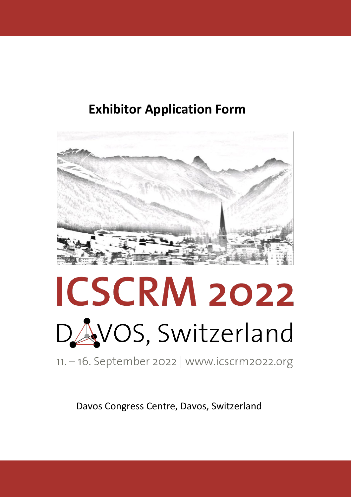### **Exhibitor Application Form**



# **ICSCRM 2022** DAVOS, Switzerland

11. - 16. September 2022 | www.icscrm2022.org

Davos Congress Centre, Davos, Switzerland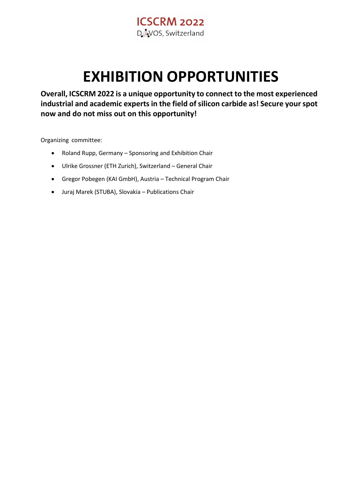

## **EXHIBITION OPPORTUNITIES**

**Overall, ICSCRM 2022 is a unique opportunity to connect to the most experienced industrial and academic experts in the field of silicon carbide as! Secure your spot now and do not miss out on this opportunity!**

Organizing committee:

- Roland Rupp, Germany Sponsoring and Exhibition Chair
- Ulrike Grossner (ETH Zurich), Switzerland General Chair
- Gregor Pobegen (KAI GmbH), Austria Technical Program Chair
- Juraj Marek (STUBA), Slovakia Publications Chair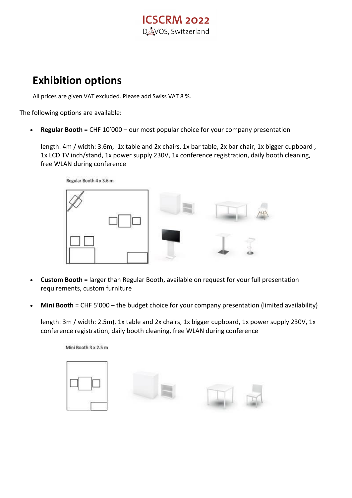#### **ICSCRM 2022** DAVOS, Switzerland

#### **Exhibition options**

All prices are given VAT excluded. Please add Swiss VAT 8 %.

The following options are available:

• **Regular Booth** = CHF 10'000 – our most popular choice for your company presentation

length: 4m / width: 3.6m, 1x table and 2x chairs, 1x bar table, 2x bar chair, 1x bigger cupboard, 1x LCD TV inch/stand, 1x power supply 230V, 1x conference registration, daily booth cleaning, free WLAN during conference

Regular Booth 4 x 3.6 m



- **Custom Booth** = larger than Regular Booth, available on request for your full presentation requirements, custom furniture
- Mini Booth = CHF 5'000 the budget choice for your company presentation (limited availability)

length: 3m / width: 2.5m), 1x table and 2x chairs, 1x bigger cupboard, 1x power supply 230V, 1x conference registration, daily booth cleaning, free WLAN during conference

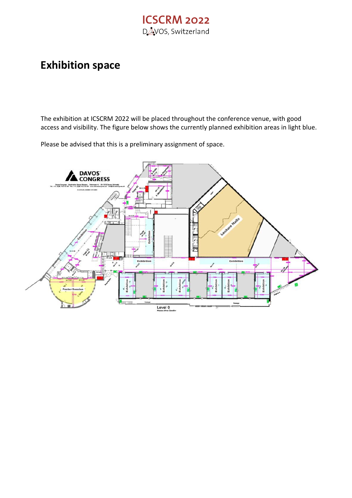#### **ICSCRM 2022** DAVOS, Switzerland

#### **Exhibition space**

The exhibition at ICSCRM 2022 will be placed throughout the conference venue, with good access and visibility. The figure below shows the currently planned exhibition areas in light blue.

**DAVOS DAVOS<br>CONGRESS**  $\mathcal{S}$ Level 0

Please be advised that this is a preliminary assignment of space.